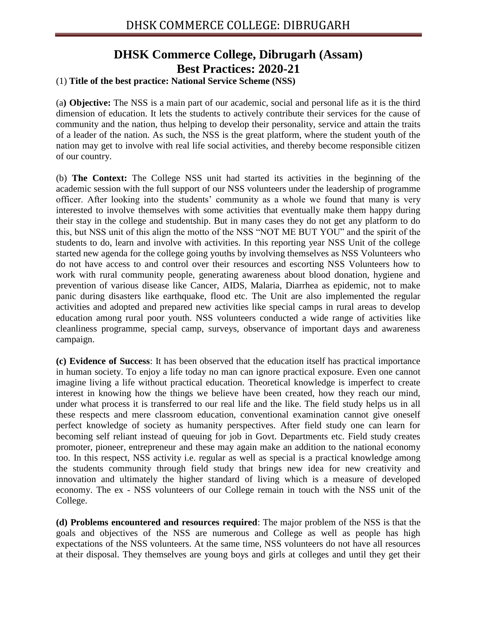## **DHSK Commerce College, Dibrugarh (Assam) Best Practices: 2020-21**

## (1) **Title of the best practice: National Service Scheme (NSS)**

(a**) Objective:** The NSS is a main part of our academic, social and personal life as it is the third dimension of education. It lets the students to actively contribute their services for the cause of community and the nation, thus helping to develop their personality, service and attain the traits of a leader of the nation. As such, the NSS is the great platform, where the student youth of the nation may get to involve with real life social activities, and thereby become responsible citizen of our country.

(b) **The Context:** The College NSS unit had started its activities in the beginning of the academic session with the full support of our NSS volunteers under the leadership of programme officer. After looking into the students' community as a whole we found that many is very interested to involve themselves with some activities that eventually make them happy during their stay in the college and studentship. But in many cases they do not get any platform to do this, but NSS unit of this align the motto of the NSS "NOT ME BUT YOU" and the spirit of the students to do, learn and involve with activities. In this reporting year NSS Unit of the college started new agenda for the college going youths by involving themselves as NSS Volunteers who do not have access to and control over their resources and escorting NSS Volunteers how to work with rural community people, generating awareness about blood donation, hygiene and prevention of various disease like Cancer, AIDS, Malaria, Diarrhea as epidemic, not to make panic during disasters like earthquake, flood etc. The Unit are also implemented the regular activities and adopted and prepared new activities like special camps in rural areas to develop education among rural poor youth. NSS volunteers conducted a wide range of activities like cleanliness programme, special camp, surveys, observance of important days and awareness campaign.

**(c) Evidence of Success**: It has been observed that the education itself has practical importance in human society. To enjoy a life today no man can ignore practical exposure. Even one cannot imagine living a life without practical education. Theoretical knowledge is imperfect to create interest in knowing how the things we believe have been created, how they reach our mind, under what process it is transferred to our real life and the like. The field study helps us in all these respects and mere classroom education, conventional examination cannot give oneself perfect knowledge of society as humanity perspectives. After field study one can learn for becoming self reliant instead of queuing for job in Govt. Departments etc. Field study creates promoter, pioneer, entrepreneur and these may again make an addition to the national economy too. In this respect, NSS activity i.e. regular as well as special is a practical knowledge among the students community through field study that brings new idea for new creativity and innovation and ultimately the higher standard of living which is a measure of developed economy. The ex - NSS volunteers of our College remain in touch with the NSS unit of the College.

**(d) Problems encountered and resources required**: The major problem of the NSS is that the goals and objectives of the NSS are numerous and College as well as people has high expectations of the NSS volunteers. At the same time, NSS volunteers do not have all resources at their disposal. They themselves are young boys and girls at colleges and until they get their